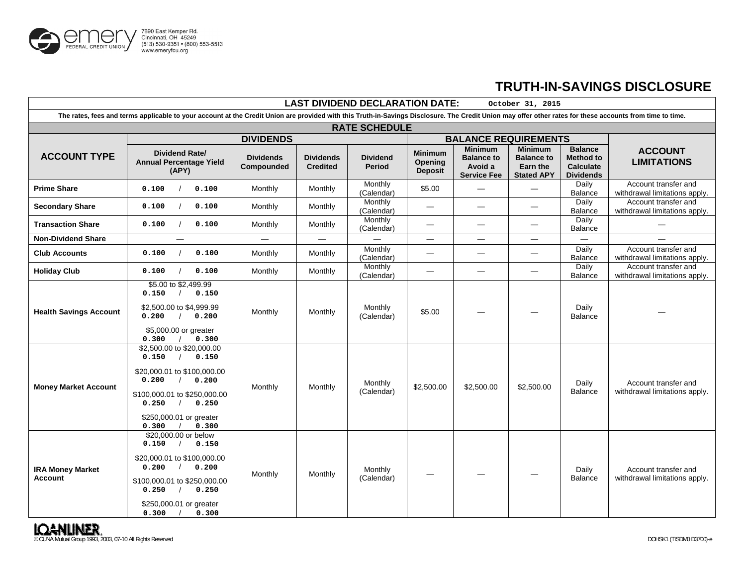

## **TRUTH-IN-SAVINGS DISCLOSURE**

| <b>LAST DIVIDEND DECLARATION DATE:</b><br>October 31, 2015                                                                                                                                                |                                                                                                                                                                                             |                                |                                     |                           |                                             |                                                                      |                                                                      |                                                                            |                                                       |
|-----------------------------------------------------------------------------------------------------------------------------------------------------------------------------------------------------------|---------------------------------------------------------------------------------------------------------------------------------------------------------------------------------------------|--------------------------------|-------------------------------------|---------------------------|---------------------------------------------|----------------------------------------------------------------------|----------------------------------------------------------------------|----------------------------------------------------------------------------|-------------------------------------------------------|
| The rates, fees and terms applicable to your account at the Credit Union are provided with this Truth-in-Savings Disclosure. The Credit Union may offer other rates for these accounts from time to time. |                                                                                                                                                                                             |                                |                                     |                           |                                             |                                                                      |                                                                      |                                                                            |                                                       |
| <b>RATE SCHEDULE</b>                                                                                                                                                                                      |                                                                                                                                                                                             |                                |                                     |                           |                                             |                                                                      |                                                                      |                                                                            |                                                       |
|                                                                                                                                                                                                           | <b>DIVIDENDS</b>                                                                                                                                                                            |                                |                                     |                           | <b>BALANCE REQUIREMENTS</b>                 |                                                                      |                                                                      |                                                                            |                                                       |
| <b>ACCOUNT TYPE</b>                                                                                                                                                                                       | Dividend Rate/<br><b>Annual Percentage Yield</b><br>(APY)                                                                                                                                   | <b>Dividends</b><br>Compounded | <b>Dividends</b><br><b>Credited</b> | <b>Dividend</b><br>Period | <b>Minimum</b><br>Opening<br><b>Deposit</b> | <b>Minimum</b><br><b>Balance to</b><br>Avoid a<br><b>Service Fee</b> | <b>Minimum</b><br><b>Balance to</b><br>Earn the<br><b>Stated APY</b> | <b>Balance</b><br><b>Method to</b><br><b>Calculate</b><br><b>Dividends</b> | <b>ACCOUNT</b><br><b>LIMITATIONS</b>                  |
| <b>Prime Share</b>                                                                                                                                                                                        | 0.100<br>0.100                                                                                                                                                                              | Monthly                        | Monthly                             | Monthly<br>(Calendar)     | \$5.00                                      |                                                                      |                                                                      | Daily<br>Balance                                                           | Account transfer and<br>withdrawal limitations apply. |
| <b>Secondary Share</b>                                                                                                                                                                                    | 0.100<br>0.100                                                                                                                                                                              | Monthly                        | Monthly                             | Monthly<br>(Calendar)     | $\equiv$                                    | $\equiv$                                                             | $\overline{\phantom{0}}$                                             | Daily<br>Balance                                                           | Account transfer and<br>withdrawal limitations apply. |
| <b>Transaction Share</b>                                                                                                                                                                                  | 0.100<br>0.100                                                                                                                                                                              | Monthly                        | Monthly                             | Monthly<br>(Calendar)     |                                             |                                                                      | —                                                                    | Daily<br>Balance                                                           |                                                       |
| <b>Non-Dividend Share</b>                                                                                                                                                                                 | $\equiv$                                                                                                                                                                                    |                                |                                     |                           |                                             | $\equiv$                                                             | $\equiv$                                                             | $\equiv$                                                                   |                                                       |
| <b>Club Accounts</b>                                                                                                                                                                                      | 0.100<br>0.100                                                                                                                                                                              | Monthly                        | Monthly                             | Monthly<br>(Calendar)     |                                             |                                                                      | $\qquad \qquad \longleftarrow$                                       | Daily<br>Balance                                                           | Account transfer and<br>withdrawal limitations apply. |
| <b>Holiday Club</b>                                                                                                                                                                                       | 0.100<br>0.100                                                                                                                                                                              | Monthly                        | <b>Monthly</b>                      | Monthly<br>(Calendar)     |                                             |                                                                      | $\equiv$                                                             | Daily<br>Balance                                                           | Account transfer and<br>withdrawal limitations apply. |
| <b>Health Savings Account</b>                                                                                                                                                                             | \$5.00 to \$2,499.99<br>0.150<br>0.150<br>\$2,500.00 to \$4,999.99<br>0.200<br>0.200<br>\$5,000.00 or greater<br>0.300<br>0.300                                                             | Monthly                        | Monthly                             | Monthly<br>(Calendar)     | \$5.00                                      |                                                                      |                                                                      | Daily<br>Balance                                                           |                                                       |
| <b>Money Market Account</b>                                                                                                                                                                               | \$2,500.00 to \$20,000.00<br>0.150<br>0.150<br>\$20,000.01 to \$100,000.00<br>0.200<br>0.200<br>\$100,000.01 to \$250,000.00<br>0.250<br>0.250<br>\$250,000.01 or greater<br>0.300<br>0.300 | Monthly                        | Monthly                             | Monthly<br>(Calendar)     | \$2,500.00                                  | \$2,500.00                                                           | \$2,500.00                                                           | Daily<br>Balance                                                           | Account transfer and<br>withdrawal limitations apply. |
| <b>IRA Money Market</b><br><b>Account</b>                                                                                                                                                                 | \$20,000.00 or below<br>0.150<br>0.150<br>\$20,000.01 to \$100,000.00<br>0.200<br>0.200<br>\$100,000.01 to \$250,000.00<br>0.250<br>0.250<br>\$250,000.01 or greater<br>0.300<br>0.300      | Monthly                        | Monthly                             | Monthly<br>(Calendar)     | $\hspace{0.05cm}$                           |                                                                      |                                                                      | Daily<br>Balance                                                           | Account transfer and<br>withdrawal limitations apply. |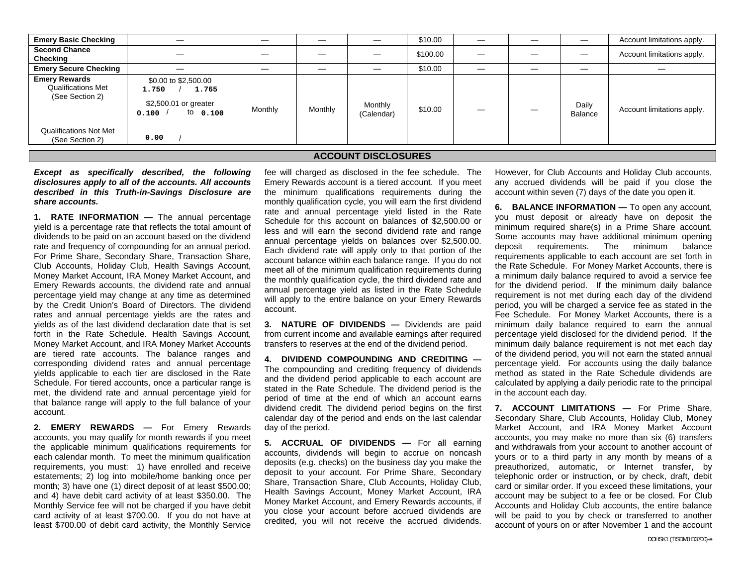| <b>Emery Basic Checking</b>                                          |                                                                                      |         |         |                       | \$10.00  | – |                  | Account limitations apply. |
|----------------------------------------------------------------------|--------------------------------------------------------------------------------------|---------|---------|-----------------------|----------|---|------------------|----------------------------|
| <b>Second Chance</b><br>Checking                                     |                                                                                      |         |         |                       | \$100.00 |   | —                | Account limitations apply. |
| <b>Emery Secure Checking</b>                                         |                                                                                      |         | _       |                       | \$10.00  | _ | —                |                            |
| <b>Emery Rewards</b><br><b>Qualifications Met</b><br>(See Section 2) | \$0.00 to \$2,500.00<br>1.765<br>1.750<br>\$2,500.01 or greater<br>to 0.100<br>0.100 | Monthly | Monthly | Monthly<br>(Calendar) | \$10.00  |   | Daily<br>Balance | Account limitations apply. |
| <b>Qualifications Not Met</b><br>(See Section 2)                     | 0.00                                                                                 |         |         |                       |          |   |                  |                            |

## **ACCOUNT DISCLOSURES**

*Except as specifically described, the following disclosures apply to all of the accounts. All accounts described in this Truth-in-Savings Disclosure are share accounts.* 

**1. RATE INFORMATION —** The annual percentage yield is a percentage rate that reflects the total amount of dividends to be paid on an account based on the dividend rate and frequency of compounding for an annual period. For Prime Share, Secondary Share, Transaction Share, Club Accounts, Holiday Club, Health Savings Account, Money Market Account, IRA Money Market Account, and Emery Rewards accounts, the dividend rate and annual percentage yield may change at any time as determined by the Credit Union's Board of Directors. The dividend rates and annual percentage yields are the rates and yields as of the last dividend declaration date that is set forth in the Rate Schedule. Health Savings Account, Money Market Account, and IRA Money Market Accounts are tiered rate accounts. The balance ranges and corresponding dividend rates and annual percentage yields applicable to each tier are disclosed in the Rate Schedule. For tiered accounts, once a particular range is met, the dividend rate and annual percentage yield for that balance range will apply to the full balance of your account.

**2. EMERY REWARDS —** For Emery Rewards accounts, you may qualify for month rewards if you meet the applicable minimum qualifications requirements for each calendar month. To meet the minimum qualification requirements, you must: 1) have enrolled and receive estatements; 2) log into mobile/home banking once per month; 3) have one (1) direct deposit of at least \$500.00; and 4) have debit card activity of at least \$350.00. The Monthly Service fee will not be charged if you have debit card activity of at least \$700.00. If you do not have at least \$700.00 of debit card activity, the Monthly Service fee will charged as disclosed in the fee schedule. The Emery Rewards account is a tiered account. If you meet the minimum qualifications requirements during the monthly qualification cycle, you will earn the first dividend rate and annual percentage yield listed in the Rate Schedule for this account on balances of \$2,500.00 or less and will earn the second dividend rate and range annual percentage yields on balances over \$2,500.00. Each dividend rate will apply only to that portion of the account balance within each balance range. If you do not meet all of the minimum qualification requirements during the monthly qualification cycle, the third dividend rate and annual percentage yield as listed in the Rate Schedule will apply to the entire balance on your Emery Rewards account.

**3. NATURE OF DIVIDENDS —** Dividends are paid from current income and available earnings after required transfers to reserves at the end of the dividend period.

**4. DIVIDEND COMPOUNDING AND CREDITING —** The compounding and crediting frequency of dividends and the dividend period applicable to each account are stated in the Rate Schedule. The dividend period is the period of time at the end of which an account earns dividend credit. The dividend period begins on the first calendar day of the period and ends on the last calendar day of the period.

**5. ACCRUAL OF DIVIDENDS —** For all earning accounts, dividends will begin to accrue on noncash deposits (e.g. checks) on the business day you make the deposit to your account. For Prime Share, Secondary Share, Transaction Share, Club Accounts, Holiday Club, Health Savings Account, Money Market Account, IRA Money Market Account, and Emery Rewards accounts, if you close your account before accrued dividends are credited, you will not receive the accrued dividends. However, for Club Accounts and Holiday Club accounts, any accrued dividends will be paid if you close the account within seven (7) days of the date you open it.

**6. BALANCE INFORMATION —** To open any account, you must deposit or already have on deposit the minimum required share(s) in a Prime Share account. Some accounts may have additional minimum opening deposit requirements. The minimum balance requirements applicable to each account are set forth in the Rate Schedule. For Money Market Accounts, there is a minimum daily balance required to avoid a service fee for the dividend period. If the minimum daily balance requirement is not met during each day of the dividend period, you will be charged a service fee as stated in the Fee Schedule. For Money Market Accounts, there is a minimum daily balance required to earn the annual percentage yield disclosed for the dividend period. If the minimum daily balance requirement is not met each day of the dividend period, you will not earn the stated annual percentage yield. For accounts using the daily balance method as stated in the Rate Schedule dividends are calculated by applying a daily periodic rate to the principal in the account each day.

**7. ACCOUNT LIMITATIONS —** For Prime Share, Secondary Share, Club Accounts, Holiday Club, Money Market Account, and IRA Money Market Account accounts, you may make no more than six (6) transfers and withdrawals from your account to another account of yours or to a third party in any month by means of a preauthorized, automatic, or Internet transfer, by telephonic order or instruction, or by check, draft, debit card or similar order. If you exceed these limitations, your account may be subject to a fee or be closed. For Club Accounts and Holiday Club accounts, the entire balance will be paid to you by check or transferred to another account of yours on or after November 1 and the account